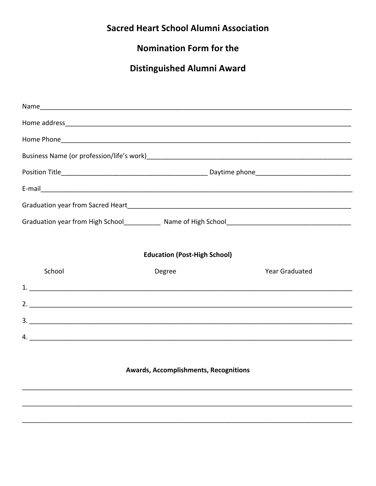## **Sacred Heart School Alumni Association**

### **Nomination Form for the**

# **Distinguished Alumni Award**

| <b>Education (Post-High School)</b>          |        |                       |  |
|----------------------------------------------|--------|-----------------------|--|
| School                                       | Degree | <b>Year Graduated</b> |  |
|                                              |        |                       |  |
|                                              |        |                       |  |
| $3.$ $\overline{\phantom{a}}$                |        |                       |  |
|                                              |        | 4.                    |  |
|                                              |        |                       |  |
| <b>Awards, Accomplishments, Recognitions</b> |        |                       |  |
|                                              |        |                       |  |
|                                              |        |                       |  |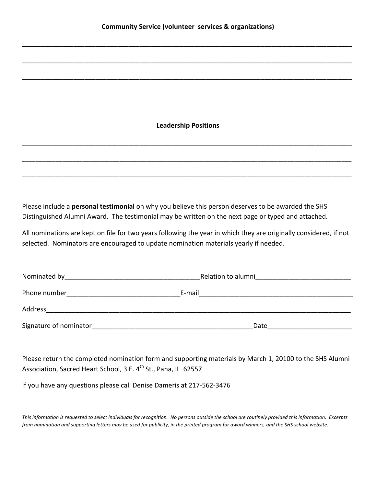\_\_\_\_\_\_\_\_\_\_\_\_\_\_\_\_\_\_\_\_\_\_\_\_\_\_\_\_\_\_\_\_\_\_\_\_\_\_\_\_\_\_\_\_\_\_\_\_\_\_\_\_\_\_\_\_\_\_\_\_\_\_\_\_\_\_\_\_\_\_\_\_\_\_\_\_\_\_\_\_\_\_\_\_\_\_\_\_\_\_

\_\_\_\_\_\_\_\_\_\_\_\_\_\_\_\_\_\_\_\_\_\_\_\_\_\_\_\_\_\_\_\_\_\_\_\_\_\_\_\_\_\_\_\_\_\_\_\_\_\_\_\_\_\_\_\_\_\_\_\_\_\_\_\_\_\_\_\_\_\_\_\_\_\_\_\_\_\_\_\_\_\_\_\_\_\_\_\_\_\_

\_\_\_\_\_\_\_\_\_\_\_\_\_\_\_\_\_\_\_\_\_\_\_\_\_\_\_\_\_\_\_\_\_\_\_\_\_\_\_\_\_\_\_\_\_\_\_\_\_\_\_\_\_\_\_\_\_\_\_\_\_\_\_\_\_\_\_\_\_\_\_\_\_\_\_\_\_\_\_\_\_\_\_\_\_\_\_\_\_\_

#### **Leadership
Positions**

\_\_\_\_\_\_\_\_\_\_\_\_\_\_\_\_\_\_\_\_\_\_\_\_\_\_\_\_\_\_\_\_\_\_\_\_\_\_\_\_\_\_\_\_\_\_\_\_\_\_\_\_\_\_\_\_\_\_\_\_\_\_\_\_\_\_\_\_\_\_\_\_\_\_\_\_\_\_\_\_\_\_\_\_\_\_\_\_\_\_

\_\_\_\_\_\_\_\_\_\_\_\_\_\_\_\_\_\_\_\_\_\_\_\_\_\_\_\_\_\_\_\_\_\_\_\_\_\_\_\_\_\_\_\_\_\_\_\_\_\_\_\_\_\_\_\_\_\_\_\_\_\_\_\_\_\_\_\_\_\_\_\_\_\_\_\_\_\_\_\_\_\_\_\_\_\_\_\_\_\_\_\_\_\_\_\_\_\_

\_\_\_\_\_\_\_\_\_\_\_\_\_\_\_\_\_\_\_\_\_\_\_\_\_\_\_\_\_\_\_\_\_\_\_\_\_\_\_\_\_\_\_\_\_\_\_\_\_\_\_\_\_\_\_\_\_\_\_\_\_\_\_\_\_\_\_\_\_\_\_\_\_\_\_\_\_\_\_\_\_\_\_\_\_\_\_\_\_\_\_\_\_\_\_\_\_\_

Please include a **personal testimonial** on why you believe this person deserves to be awarded the SHS Distinguished Alumni Award. The testimonial may be written on the next page or typed and attached.

All nominations are kept on file for two years following the year in which they are originally considered, if not selected. Nominators are encouraged to update nomination materials yearly if needed.

| Nominated by           | Relation to alumni |  |
|------------------------|--------------------|--|
| Phone number           | E-mail             |  |
| Address                |                    |  |
| Signature of nominator | Date               |  |

Please return the completed nomination form and supporting materials by March 1, 20100 to the SHS Alumni Association, Sacred Heart School, 3 E. 4<sup>th</sup> St., Pana, IL 62557

If
you
have
any
questions
please
call
Denise
Dameris
at
217‐562‐3476

This information is requested to select individuals for recognition. No persons outside the school are routinely provided this information. Excerpts from nomination and supporting letters may be used for publicity, in the printed program for award winners, and the SHS school website.